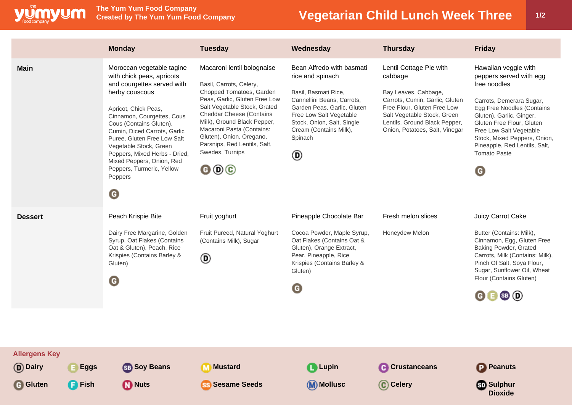

**The Yum Yum Food Company**

## **Vegetarian Child Lunch Week Three 1/2**

|                                                           |                              | <b>Monday</b>                                                                                                                                                                                                                                                                                                                                                                                                   | <b>Tuesday</b>                                                                                                                                                                                                                                                                                                                                                                        | Wednesday                                                                                                                                                                                                                             | <b>Thursday</b>                                                                                                                                                                                                               | <b>Friday</b>                                                                                                                                                                                                                                                                                                        |
|-----------------------------------------------------------|------------------------------|-----------------------------------------------------------------------------------------------------------------------------------------------------------------------------------------------------------------------------------------------------------------------------------------------------------------------------------------------------------------------------------------------------------------|---------------------------------------------------------------------------------------------------------------------------------------------------------------------------------------------------------------------------------------------------------------------------------------------------------------------------------------------------------------------------------------|---------------------------------------------------------------------------------------------------------------------------------------------------------------------------------------------------------------------------------------|-------------------------------------------------------------------------------------------------------------------------------------------------------------------------------------------------------------------------------|----------------------------------------------------------------------------------------------------------------------------------------------------------------------------------------------------------------------------------------------------------------------------------------------------------------------|
| <b>Main</b>                                               |                              | Moroccan vegetable tagine<br>with chick peas, apricots<br>and courgettes served with<br>herby couscous<br>Apricot, Chick Peas,<br>Cinnamon, Courgettes, Cous<br>Cous (Contains Gluten),<br>Cumin, Diced Carrots, Garlic<br>Puree, Gluten Free Low Salt<br>Vegetable Stock, Green<br>Peppers, Mixed Herbs - Dried,<br>Mixed Peppers, Onion, Red<br>Peppers, Turmeric, Yellow<br>Peppers<br>$\boldsymbol{\Theta}$ | Macaroni lentil bolognaise<br>Basil, Carrots, Celery,<br>Chopped Tomatoes, Garden<br>Peas, Garlic, Gluten Free Low<br>Salt Vegetable Stock, Grated<br><b>Cheddar Cheese (Contains</b><br>Milk), Ground Black Pepper,<br>Macaroni Pasta (Contains:<br>Gluten), Onion, Oregano,<br>Parsnips, Red Lentils, Salt,<br>Swedes, Turnips<br>$\mathbf{\Theta} \mathbf{\Theta} \mathbf{\Theta}$ | Bean Alfredo with basmati<br>rice and spinach<br>Basil, Basmati Rice,<br>Cannellini Beans, Carrots,<br>Garden Peas, Garlic, Gluten<br>Free Low Salt Vegetable<br>Stock, Onion, Salt, Single<br>Cream (Contains Milk),<br>Spinach<br>◉ | Lentil Cottage Pie with<br>cabbage<br>Bay Leaves, Cabbage,<br>Carrots, Cumin, Garlic, Gluten<br>Free Flour, Gluten Free Low<br>Salt Vegetable Stock, Green<br>Lentils, Ground Black Pepper,<br>Onion, Potatoes, Salt, Vinegar | Hawaiian veggie with<br>peppers served with egg<br>free noodles<br>Carrots, Demerara Sugar,<br>Egg Free Noodles (Contains<br>Gluten), Garlic, Ginger,<br>Gluten Free Flour, Gluten<br>Free Low Salt Vegetable<br>Stock, Mixed Peppers, Onion,<br>Pineapple, Red Lentils, Salt,<br><b>Tomato Paste</b><br>$\mathbf G$ |
| <b>Dessert</b>                                            |                              | Peach Krispie Bite<br>Dairy Free Margarine, Golden<br>Syrup, Oat Flakes (Contains<br>Oat & Gluten), Peach, Rice<br>Krispies (Contains Barley &<br>Gluten)<br>◉                                                                                                                                                                                                                                                  | Fruit yoghurt<br>Fruit Pureed, Natural Yoghurt<br>(Contains Milk), Sugar<br>◉                                                                                                                                                                                                                                                                                                         | Pineapple Chocolate Bar<br>Cocoa Powder, Maple Syrup,<br>Oat Flakes (Contains Oat &<br>Gluten), Orange Extract,<br>Pear, Pineapple, Rice<br>Krispies (Contains Barley &<br>Gluten)<br>G                                               | Fresh melon slices<br>Honeydew Melon                                                                                                                                                                                          | Juicy Carrot Cake<br>Butter (Contains: Milk),<br>Cinnamon, Egg, Gluten Free<br>Baking Powder, Grated<br>Carrots, Milk (Contains: Milk),<br>Pinch Of Salt, Soya Flour,<br>Sugar, Sunflower Oil, Wheat<br>Flour (Contains Gluten)<br>$\mathbf{G} \mathbf{B}$ SB $\mathbf{D}$                                           |
| <b>Allergens Key</b><br><b>D</b> Dairy<br><b>G</b> Gluten | <b>Eggs</b><br><b>F</b> Fish | <b>SB</b> Soy Beans<br><b>D</b> Nuts                                                                                                                                                                                                                                                                                                                                                                            | <b>M</b> Mustard<br><b>SS Sesame Seeds</b>                                                                                                                                                                                                                                                                                                                                            | <b>Lupin</b><br>(M) Mollusc                                                                                                                                                                                                           | <b>C</b> Crustanceans<br>C Celery                                                                                                                                                                                             | <b>P</b> Peanuts<br><b>Sulphur</b><br><b>Dioxide</b>                                                                                                                                                                                                                                                                 |